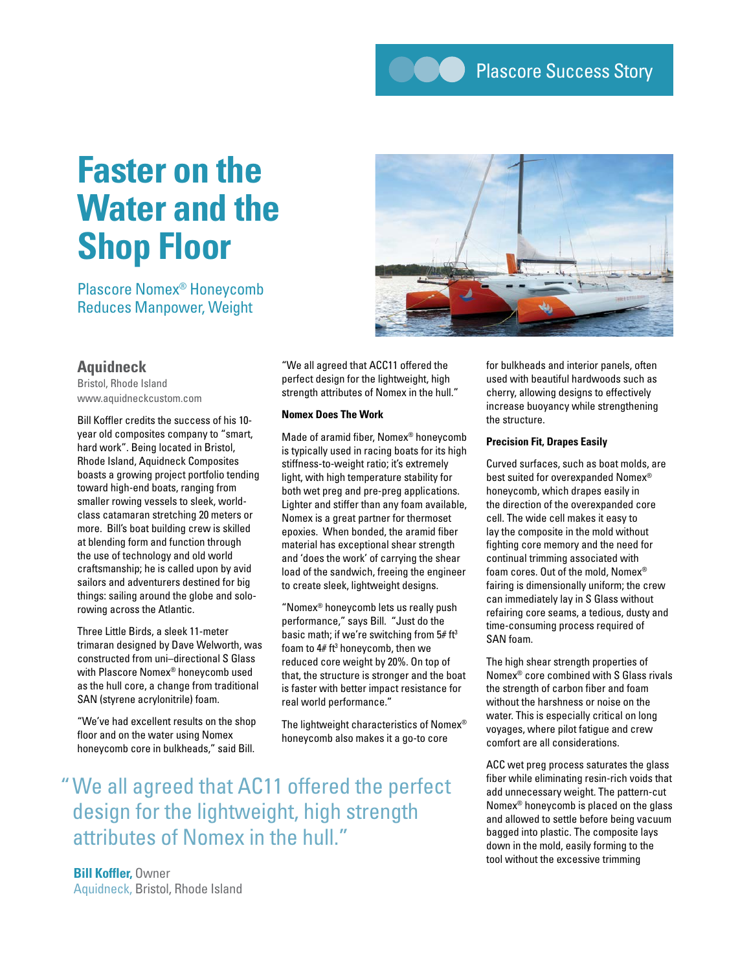**CO** Plascore Success Story

# **Faster on the Water and the Shop Floor**

Plascore Nomex® Honeycomb Reduces Manpower, Weight



# **Aquidneck**

Bristol, Rhode Island www.aquidneckcustom.com

Bill Koffler credits the success of his 10 year old composites company to "smart, hard work". Being located in Bristol, Rhode Island, Aquidneck Composites boasts a growing project portfolio tending toward high-end boats, ranging from smaller rowing vessels to sleek, worldclass catamaran stretching 20 meters or more. Bill's boat building crew is skilled at blending form and function through the use of technology and old world craftsmanship; he is called upon by avid sailors and adventurers destined for big things: sailing around the globe and solorowing across the Atlantic.

Three Little Birds, a sleek 11-meter trimaran designed by Dave Welworth, was constructed from uni–directional S Glass with Plascore Nomex® honeycomb used as the hull core, a change from traditional SAN (styrene acrylonitrile) foam.

"We've had excellent results on the shop floor and on the water using Nomex honeycomb core in bulkheads," said Bill.

"We all agreed that ACC11 offered the perfect design for the lightweight, high strength attributes of Nomex in the hull."

## **Nomex Does The Work**

Made of aramid fiber, Nomex® honeycomb is typically used in racing boats for its high stiffness-to-weight ratio; it's extremely light, with high temperature stability for both wet preg and pre-preg applications. Lighter and stiffer than any foam available, Nomex is a great partner for thermoset epoxies. When bonded, the aramid fiber material has exceptional shear strength and 'does the work' of carrying the shear load of the sandwich, freeing the engineer to create sleek, lightweight designs.

"Nomex® honeycomb lets us really push performance," says Bill. "Just do the basic math; if we're switching from  $5#$  ft<sup>3</sup> foam to  $4#$  ft $3$  honeycomb, then we reduced core weight by 20%. On top of that, the structure is stronger and the boat is faster with better impact resistance for real world performance."

The lightweight characteristics of Nomex® honeycomb also makes it a go-to core

"We all agreed that AC11 offered the perfect design for the lightweight, high strength attributes of Nomex in the hull."

for bulkheads and interior panels, often used with beautiful hardwoods such as cherry, allowing designs to effectively increase buoyancy while strengthening the structure.

## **Precision Fit, Drapes Easily**

Curved surfaces, such as boat molds, are best suited for overexpanded Nomex® honeycomb, which drapes easily in the direction of the overexpanded core cell. The wide cell makes it easy to lay the composite in the mold without fighting core memory and the need for continual trimming associated with foam cores. Out of the mold, Nomex® fairing is dimensionally uniform; the crew can immediately lay in S Glass without refairing core seams, a tedious, dusty and time-consuming process required of SAN foam.

The high shear strength properties of Nomex® core combined with S Glass rivals the strength of carbon fiber and foam without the harshness or noise on the water. This is especially critical on long voyages, where pilot fatigue and crew comfort are all considerations.

ACC wet preg process saturates the glass fiber while eliminating resin-rich voids that add unnecessary weight. The pattern-cut Nomex® honeycomb is placed on the glass and allowed to settle before being vacuum bagged into plastic. The composite lays down in the mold, easily forming to the tool without the excessive trimming

**Bill Koffler,** Owner Aquidneck, Bristol, Rhode Island